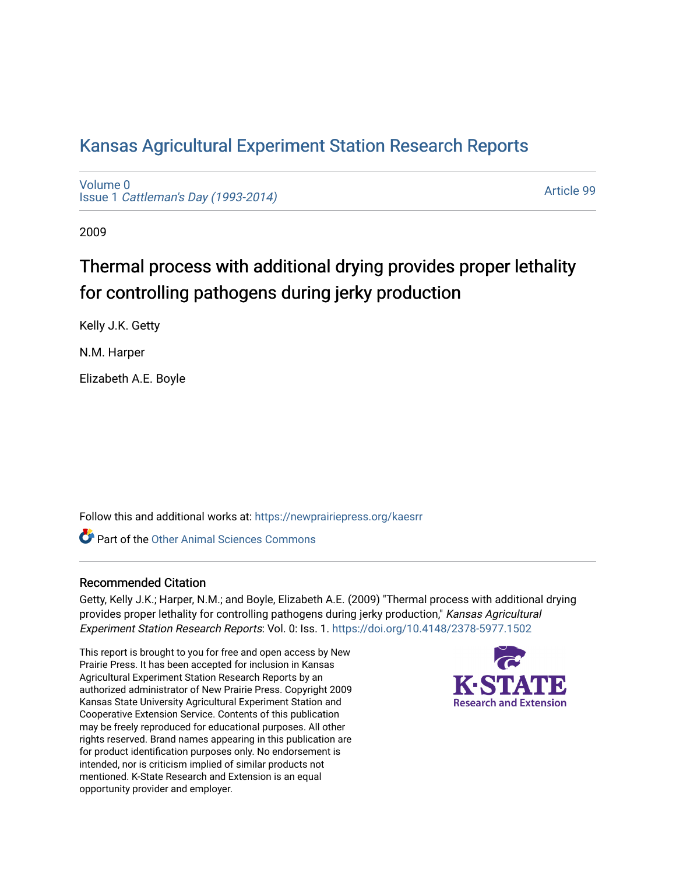## [Kansas Agricultural Experiment Station Research Reports](https://newprairiepress.org/kaesrr)

[Volume 0](https://newprairiepress.org/kaesrr/vol0) Issue 1 [Cattleman's Day \(1993-2014\)](https://newprairiepress.org/kaesrr/vol0/iss1) 

[Article 99](https://newprairiepress.org/kaesrr/vol0/iss1/99) 

2009

# Thermal process with additional drying provides proper lethality for controlling pathogens during jerky production

Kelly J.K. Getty

N.M. Harper

Elizabeth A.E. Boyle

Follow this and additional works at: [https://newprairiepress.org/kaesrr](https://newprairiepress.org/kaesrr?utm_source=newprairiepress.org%2Fkaesrr%2Fvol0%2Fiss1%2F99&utm_medium=PDF&utm_campaign=PDFCoverPages) 

**C** Part of the [Other Animal Sciences Commons](http://network.bepress.com/hgg/discipline/82?utm_source=newprairiepress.org%2Fkaesrr%2Fvol0%2Fiss1%2F99&utm_medium=PDF&utm_campaign=PDFCoverPages)

#### Recommended Citation

Getty, Kelly J.K.; Harper, N.M.; and Boyle, Elizabeth A.E. (2009) "Thermal process with additional drying provides proper lethality for controlling pathogens during jerky production," Kansas Agricultural Experiment Station Research Reports: Vol. 0: Iss. 1. <https://doi.org/10.4148/2378-5977.1502>

This report is brought to you for free and open access by New Prairie Press. It has been accepted for inclusion in Kansas Agricultural Experiment Station Research Reports by an authorized administrator of New Prairie Press. Copyright 2009 Kansas State University Agricultural Experiment Station and Cooperative Extension Service. Contents of this publication may be freely reproduced for educational purposes. All other rights reserved. Brand names appearing in this publication are for product identification purposes only. No endorsement is intended, nor is criticism implied of similar products not mentioned. K-State Research and Extension is an equal opportunity provider and employer.

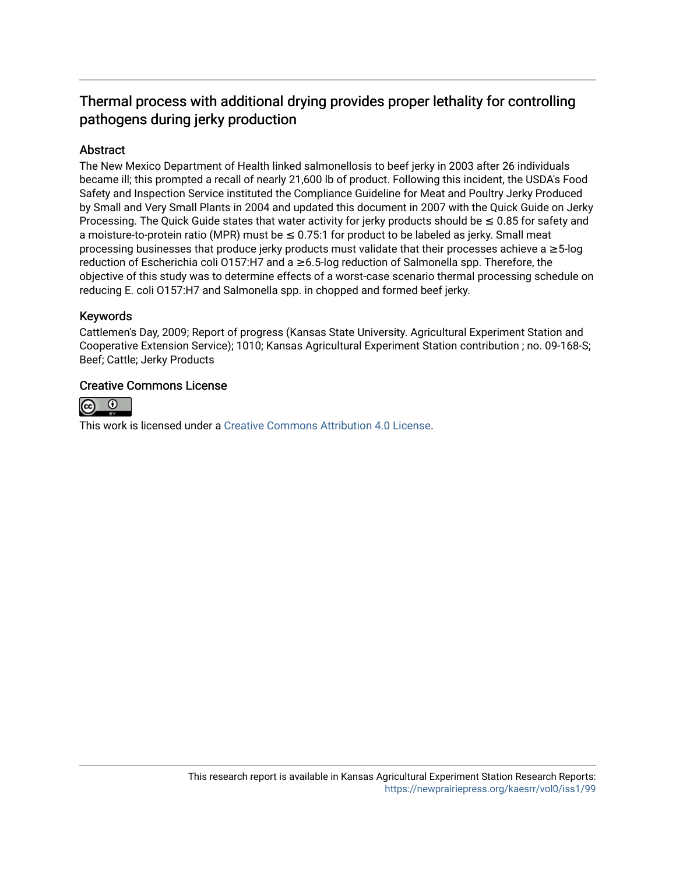### Thermal process with additional drying provides proper lethality for controlling pathogens during jerky production

#### Abstract

The New Mexico Department of Health linked salmonellosis to beef jerky in 2003 after 26 individuals became ill; this prompted a recall of nearly 21,600 lb of product. Following this incident, the USDA's Food Safety and Inspection Service instituted the Compliance Guideline for Meat and Poultry Jerky Produced by Small and Very Small Plants in 2004 and updated this document in 2007 with the Quick Guide on Jerky Processing. The Quick Guide states that water activity for jerky products should be  $\leq 0.85$  for safety and a moisture-to-protein ratio (MPR) must be  $\leq 0.75$ :1 for product to be labeled as jerky. Small meat processing businesses that produce jerky products must validate that their processes achieve a ≥5-log reduction of Escherichia coli O157:H7 and a ≥6.5-log reduction of Salmonella spp. Therefore, the objective of this study was to determine effects of a worst-case scenario thermal processing schedule on reducing E. coli O157:H7 and Salmonella spp. in chopped and formed beef jerky.

#### Keywords

Cattlemen's Day, 2009; Report of progress (Kansas State University. Agricultural Experiment Station and Cooperative Extension Service); 1010; Kansas Agricultural Experiment Station contribution ; no. 09-168-S; Beef; Cattle; Jerky Products

#### Creative Commons License



This work is licensed under a [Creative Commons Attribution 4.0 License](https://creativecommons.org/licenses/by/4.0/).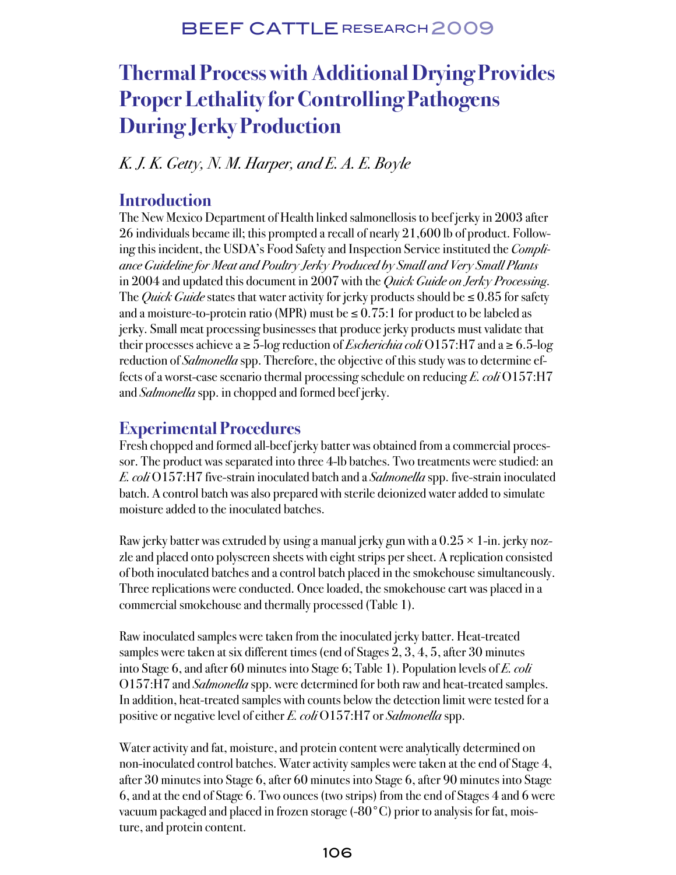# **Thermal Process with Additional Drying Provides Proper Lethality for Controlling Pathogens During Jerky Production**

K. J. K. Getty, N. M. Harper, and E. A. E. Boyle

#### **Introduction**

The New Mexico Department of Health linked salmonellosis to beef jerky in 2003 after 26 individuals became ill; this prompted a recall of nearly 21,600 lb of product. Following this incident, the USDA's Food Safety and Inspection Service instituted the *Compli*ance Guideline for Meat and Poultry Jerky Produced by Small and Very Small Plants in 2004 and updated this document in 2007 with the *Quick Guide on Jerky Processing*. The *Quick Guide* states that water activity for jerky products should be  $\leq 0.85$  for safety and a moisture-to-protein ratio (MPR) must be  $\leq 0.75$ :1 for product to be labeled as jerky. Small meat processing businesses that produce jerky products must validate that their processes achieve a  $\geq$  5-log reduction of *Escherichia coli* O157:H7 and a  $\geq$  6.5-log reduction of *Salmonella* spp. Therefore, the objective of this study was to determine effects of a worst-case scenario thermal processing schedule on reducing E. coli  $0157:H7$ and *Salmonella* spp. in chopped and formed beef jerky.

## **Experimental Procedures**

Fresh chopped and formed all-beef jerky batter was obtained from a commercial processor. The product was separated into three 4-lb batches. Two treatments were studied: an E. coli O157:H7 five-strain inoculated batch and a *Salmonella* spp. five-strain inoculated batch. A control batch was also prepared with sterile deionized water added to simulate moisture added to the inoculated batches.

Raw jerky batter was extruded by using a manual jerky gun with a  $0.25 \times 1$ -in. jerky nozzle and placed onto polyscreen sheets with eight strips per sheet. A replication consisted of both inoculated batches and a control batch placed in the smokehouse simultaneously. Three replications were conducted. Once loaded, the smokehouse cart was placed in a commercial smokehouse and thermally processed (Table 1).

Raw inoculated samples were taken from the inoculated jerky batter. Heat-treated samples were taken at six different times (end of Stages 2, 3, 4, 5, after 30 minutes into Stage 6, and after 60 minutes into Stage 6; Table 1). Population levels of E. coli O157:H7 and *Salmonella* spp. were determined for both raw and heat-treated samples. In addition, heat-treated samples with counts below the detection limit were tested for a positive or negative level of either E. coli  $O157:H7$  or Salmonella spp.

Water activity and fat, moisture, and protein content were analytically determined on non-inoculated control batches. Water activity samples were taken at the end of Stage 4, after 30 minutes into Stage 6, after 60 minutes into Stage 6, after 90 minutes into Stage 6, and at the end of Stage 6. Two ounces (two strips) from the end of Stages 4 and 6 were vacuum packaged and placed in frozen storage (-80°C) prior to analysis for fat, moisture, and protein content.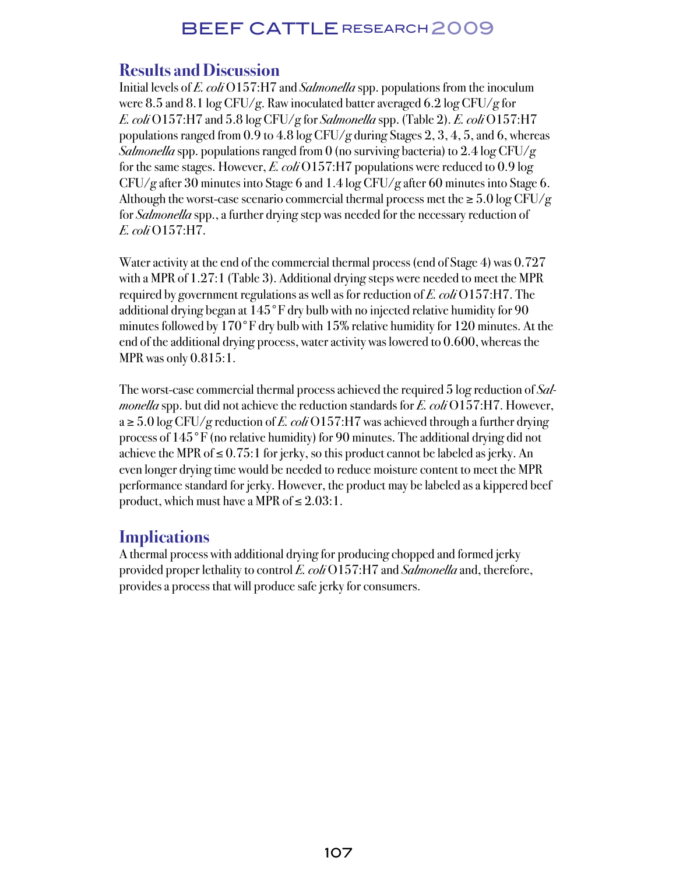#### **Results and Discussion**

Initial levels of E. coli O157:H7 and Salmonella spp. populations from the inoculum were 8.5 and 8.1 log CFU/g. Raw inoculated batter averaged 6.2 log CFU/g for E. coli O157:H7 and 5.8 log CFU/g for Salmonella spp. (Table 2). E. coli O157:H7 populations ranged from 0.9 to 4.8 log CFU/g during Stages 2, 3, 4, 5, and 6, whereas Salmonella spp. populations ranged from 0 (no surviving bacteria) to  $2.4 \log CFU/g$ for the same stages. However, E. coli  $O157:H7$  populations were reduced to 0.9 log CFU/g after 30 minutes into Stage 6 and 1.4 log CFU/g after 60 minutes into Stage 6. Although the worst-case scenario commercial thermal process met the  $\geq 5.0$  log CFU/g for *Salmonella* spp., a further drying step was needed for the necessary reduction of E. coli O157:H7.

Water activity at the end of the commercial thermal process (end of Stage 4) was 0.727 with a MPR of 1.27:1 (Table 3). Additional drying steps were needed to meet the MPR required by government regulations as well as for reduction of E. coli O157:H7. The additional drying began at 145°F dry bulb with no injected relative humidity for 90 minutes followed by 170°F dry bulb with 15% relative humidity for 120 minutes. At the end of the additional drying process, water activity was lowered to 0.600, whereas the MPR was only 0.815:1.

The worst-case commercial thermal process achieved the required 5 log reduction of Sal*monella* spp. but did not achieve the reduction standards for E. coli O157:H7. However,  $a \geq 5.0$  log CFU/g reduction of E. coli O157:H7 was achieved through a further drying process of 145°F (no relative humidity) for 90 minutes. The additional drying did not achieve the MPR of  $\leq 0.75$ :1 for jerky, so this product cannot be labeled as jerky. An even longer drying time would be needed to reduce moisture content to meet the MPR performance standard for jerky. However, the product may be labeled as a kippered beef product, which must have a MPR of  $\leq 2.03:1$ .

## **Implications**

A thermal process with additional drying for producing chopped and formed jerky provided proper lethality to control E. coli  $O157$ :H7 and Salmonella and, therefore, provides a process that will produce safe jerky for consumers.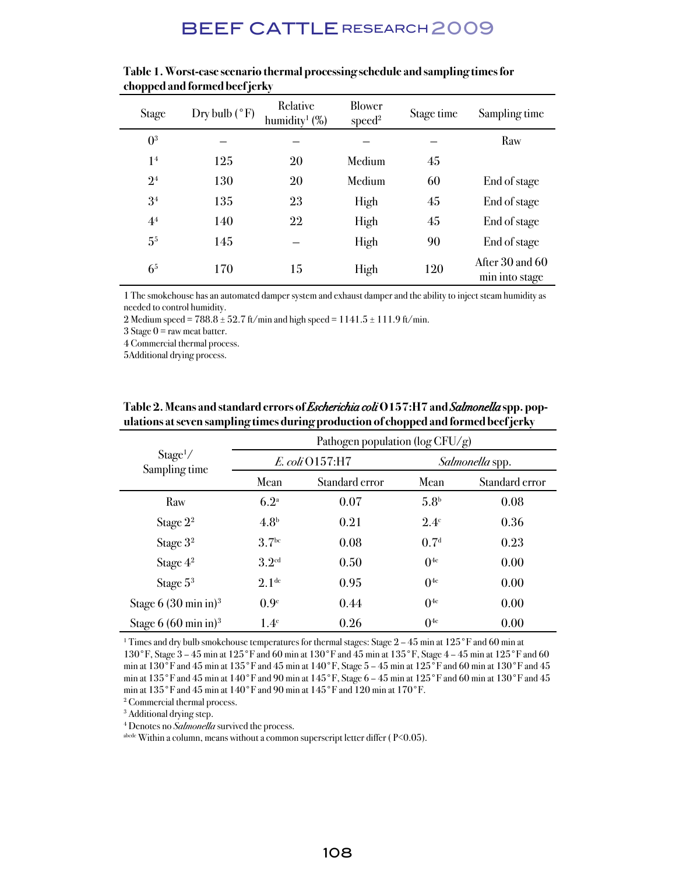| <b>Stage</b>   | Dry bulb $(^{\circ}F)$ | Relative<br>humidity <sup>1</sup> $(\%)$ | Blower<br>speed <sup>2</sup> | Stage time | Sampling time                     |
|----------------|------------------------|------------------------------------------|------------------------------|------------|-----------------------------------|
| 0 <sup>3</sup> |                        |                                          |                              |            | Raw                               |
| 1 <sup>4</sup> | 125                    | 20                                       | Medium                       | 45         |                                   |
| 2 <sup>4</sup> | 130                    | 20                                       | Medium                       | 60         | End of stage                      |
| 3 <sup>4</sup> | 135                    | 23                                       | High                         | 45         | End of stage                      |
| 4 <sup>4</sup> | 140                    | $22\,$                                   | High                         | 45         | End of stage                      |
| 5 <sup>5</sup> | 145                    |                                          | High                         | 90         | End of stage                      |
| 6 <sup>5</sup> | 170                    | 15                                       | High                         | 120        | After 30 and 60<br>min into stage |

**Table 1. Worst-case scenario thermal processing schedule and sampling times for chopped and formed beef jerky**

1 The smokehouse has an automated damper system and exhaust damper and the ability to inject steam humidity as needed to control humidity.

2 Medium speed =  $788.8 \pm 52.7$  ft/min and high speed =  $1141.5 \pm 111.9$  ft/min.

3 Stage  $0 =$  raw meat batter.

4 Commercial thermal process.

5Additional drying process.

|                                       | Pathogen population ( $log CFU/g$ ) |                |                        |                |  |
|---------------------------------------|-------------------------------------|----------------|------------------------|----------------|--|
| Stage <sup>1</sup> /<br>Sampling time | E. coli O157:H7                     |                | <i>Salmonella</i> spp. |                |  |
|                                       | Mean                                | Standard error | Mean                   | Standard error |  |
| Raw                                   | 6.2 <sup>a</sup>                    | 0.07           | 5.8 <sup>b</sup>       | 0.08           |  |
| Stage $2^2$                           | 4.8 <sup>b</sup>                    | 0.21           | $2.4^\circ$            | 0.36           |  |
| Stage 3 <sup>2</sup>                  | 3.7 <sup>bc</sup>                   | 0.08           | 0.7 <sup>d</sup>       | 0.23           |  |
| Stage 4 <sup>2</sup>                  | 3.2 <sup>cd</sup>                   | 0.50           | 0 <sup>4e</sup>        | 0.00           |  |
| Stage $5^3$                           | 2.1 <sup>de</sup>                   | 0.95           | 0 <sup>4e</sup>        | 0.00           |  |
| Stage 6 $(30 \text{ min in})^3$       | 0.9 <sup>e</sup>                    | 0.44           | 0 <sup>4e</sup>        | 0.00           |  |
| Stage $6(60 \text{ min in})^3$        | 1.4 <sup>e</sup>                    | 0.26           | 0 <sup>4e</sup>        | 0.00           |  |

#### Table 2. Means and standard errors of *Escherichia coli* O157:H7 and *Salmonella* spp. pop**ulations at seven sampling times during production of chopped and formed beef jerky**

<sup>1</sup> Times and dry bulb smokehouse temperatures for thermal stages: Stage 2 – 45 min at 125 °F and 60 min at 130°F, Stage 3 – 45 min at 125°F and 60 min at 130°F and 45 min at 135°F, Stage 4 – 45 min at 125°F and 60 min at 130°F and 45 min at 135°F and 45 min at 140°F, Stage 5 – 45 min at 125°F and 60 min at 130°F and 45 min at 135°F and 45 min at 140°F and 90 min at 145°F, Stage 6 – 45 min at 125°F and 60 min at 130°F and 45 min at 135°F and 45 min at 140°F and 90 min at 145°F and 120 min at 170°F.

2 Commercial thermal process.

3 Additional drying step.

<sup>4</sup> Denotes no Salmonella survived the process.

abcde Within a column, means without a common superscript letter differ (P<0.05).